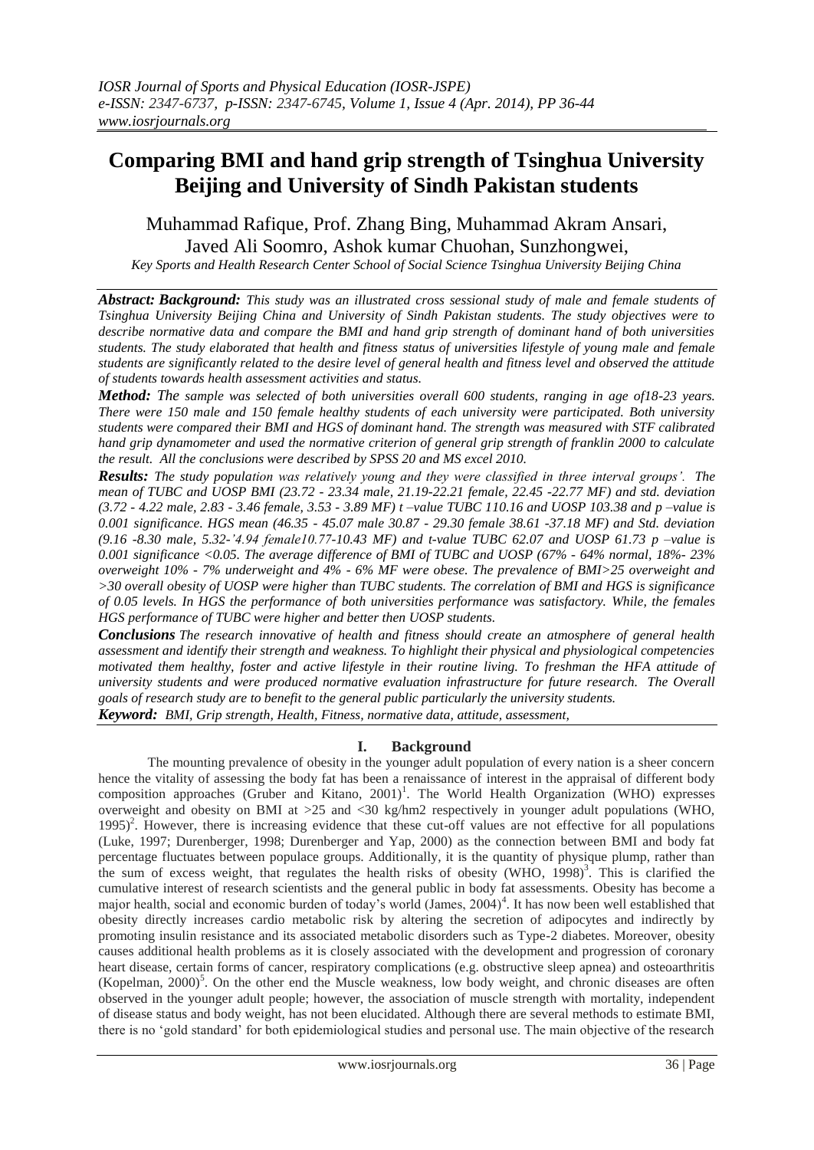# **Comparing BMI and hand grip strength of Tsinghua University Beijing and University of Sindh Pakistan students**

## Muhammad Rafique, Prof. Zhang Bing, Muhammad Akram Ansari, Javed Ali Soomro, Ashok kumar Chuohan, Sunzhongwei,

*Key Sports and Health Research Center School of Social Science Tsinghua University Beijing China* 

*Abstract: Background: This study was an illustrated cross sessional study of male and female students of Tsinghua University Beijing China and University of Sindh Pakistan students. The study objectives were to describe normative data and compare the BMI and hand grip strength of dominant hand of both universities students. The study elaborated that health and fitness status of universities lifestyle of young male and female students are significantly related to the desire level of general health and fitness level and observed the attitude of students towards health assessment activities and status.*

*Method: The sample was selected of both universities overall 600 students, ranging in age of18-23 years. There were 150 male and 150 female healthy students of each university were participated. Both university students were compared their BMI and HGS of dominant hand. The strength was measured with STF calibrated hand grip dynamometer and used the normative criterion of general grip strength of franklin 2000 to calculate the result. All the conclusions were described by SPSS 20 and MS excel 2010.*

*Results: The study population was relatively young and they were classified in three interval groups'. The mean of TUBC and UOSP BMI (23.72 - 23.34 male, 21.19-22.21 female, 22.45 -22.77 MF) and std. deviation (3.72 - 4.22 male, 2.83 - 3.46 female, 3.53 - 3.89 MF) t –value TUBC 110.16 and UOSP 103.38 and p –value is 0.001 significance. HGS mean (46.35 - 45.07 male 30.87 - 29.30 female 38.61 -37.18 MF) and Std. deviation (9.16 -8.30 male, 5.32-'4.94 female10.77-10.43 MF) and t-value TUBC 62.07 and UOSP 61.73 p –value is 0.001 significance <0.05. The average difference of BMI of TUBC and UOSP (67% - 64% normal, 18%- 23% overweight 10% - 7% underweight and 4% - 6% MF were obese. The prevalence of BMI>25 overweight and >30 overall obesity of UOSP were higher than TUBC students. The correlation of BMI and HGS is significance of 0.05 levels. In HGS the performance of both universities performance was satisfactory. While, the females HGS performance of TUBC were higher and better then UOSP students.*

*Conclusions The research innovative of health and fitness should create an atmosphere of general health assessment and identify their strength and weakness. To highlight their physical and physiological competencies motivated them healthy, foster and active lifestyle in their routine living. To freshman the HFA attitude of university students and were produced normative evaluation infrastructure for future research. The Overall goals of research study are to benefit to the general public particularly the university students. Keyword: BMI, Grip strength, Health, Fitness, normative data, attitude, assessment,*

## **I. Background**

The mounting prevalence of obesity in the younger adult population of every nation is a sheer concern hence the vitality of assessing the body fat has been a renaissance of interest in the appraisal of different body composition approaches (Gruber and Kitano, 2001)<sup>1</sup>. The World Health Organization (WHO) expresses overweight and obesity on BMI at >25 and <30 kg/hm2 respectively in younger adult populations (WHO, 1995)<sup>2</sup>. However, there is increasing evidence that these cut-off values are not effective for all populations (Luke, 1997; Durenberger, 1998; Durenberger and Yap, 2000) as the connection between BMI and body fat percentage fluctuates between populace groups. Additionally, it is the quantity of physique plump, rather than the sum of excess weight, that regulates the health risks of obesity (WHO, 1998)<sup>3</sup>. This is clarified the cumulative interest of research scientists and the general public in body fat assessments. Obesity has become a major health, social and economic burden of today's world (James, 2004)<sup>4</sup>. It has now been well established that obesity directly increases cardio metabolic risk by altering the secretion of adipocytes and indirectly by promoting insulin resistance and its associated metabolic disorders such as Type-2 diabetes. Moreover, obesity causes additional health problems as it is closely associated with the development and progression of coronary heart disease, certain forms of cancer, respiratory complications (e.g. obstructive sleep apnea) and osteoarthritis (Kopelman, 2000)<sup>5</sup>. On the other end the Muscle weakness, low body weight, and chronic diseases are often observed in the younger adult people; however, the association of muscle strength with mortality, independent of disease status and body weight, has not been elucidated. Although there are several methods to estimate BMI, there is no 'gold standard' for both epidemiological studies and personal use. The main objective of the research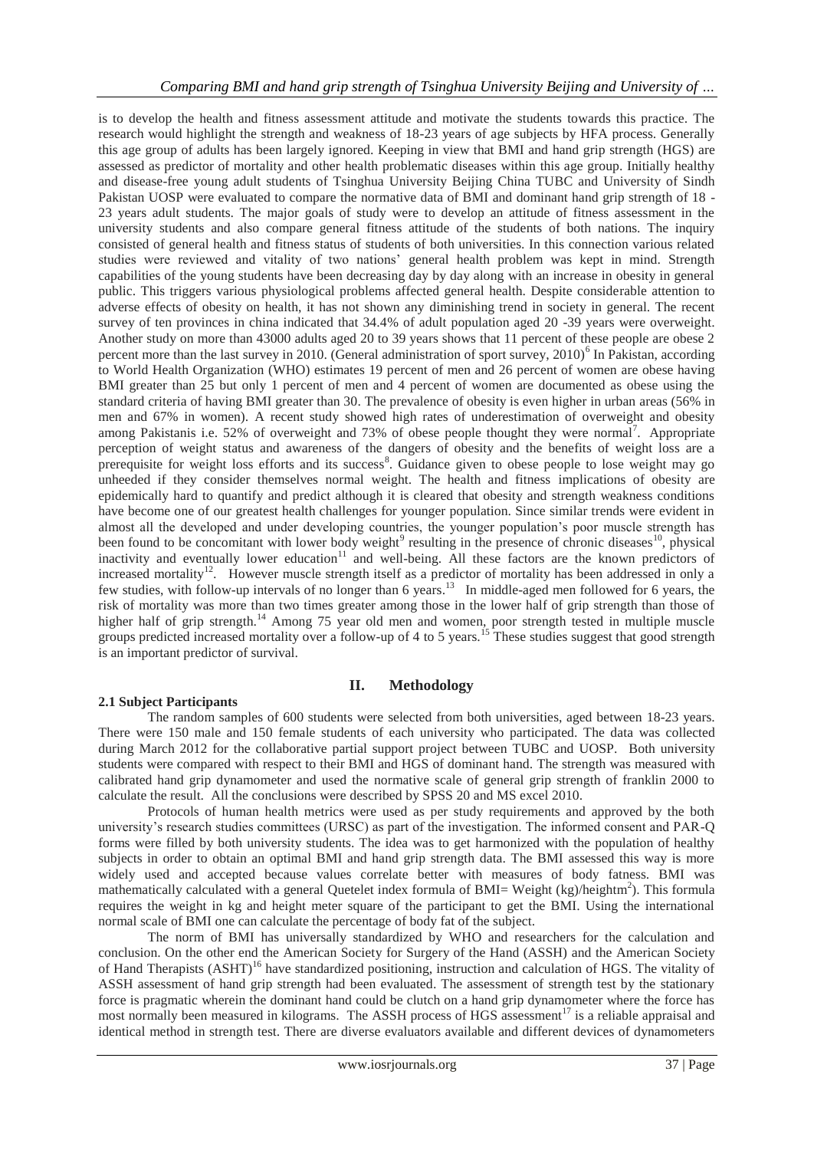is to develop the health and fitness assessment attitude and motivate the students towards this practice. The research would highlight the strength and weakness of 18-23 years of age subjects by HFA process. Generally this age group of adults has been largely ignored. Keeping in view that BMI and hand grip strength (HGS) are assessed as predictor of mortality and other health problematic diseases within this age group. Initially healthy and disease-free young adult students of Tsinghua University Beijing China TUBC and University of Sindh Pakistan UOSP were evaluated to compare the normative data of BMI and dominant hand grip strength of 18 - 23 years adult students. The major goals of study were to develop an attitude of fitness assessment in the university students and also compare general fitness attitude of the students of both nations. The inquiry consisted of general health and fitness status of students of both universities. In this connection various related studies were reviewed and vitality of two nations' general health problem was kept in mind. Strength capabilities of the young students have been decreasing day by day along with an increase in obesity in general public. This triggers various physiological problems affected general health. Despite considerable attention to adverse effects of obesity on health, it has not shown any diminishing trend in society in general. The recent survey of ten provinces in china indicated that 34.4% of adult population aged 20 -39 years were overweight. Another study on more than 43000 adults aged 20 to 39 years shows that 11 percent of these people are obese 2 percent more than the last survey in 2010. (General administration of sport survey, 2010)<sup>6</sup> In Pakistan, according to World Health Organization (WHO) estimates 19 percent of men and 26 percent of women are obese having BMI greater than 25 but only 1 percent of men and 4 percent of women are documented as obese using the standard criteria of having BMI greater than 30. The prevalence of obesity is even higher in urban areas (56% in men and 67% in women). A recent study showed high rates of underestimation of overweight and obesity among Pakistanis i.e. 52% of overweight and 73% of obese people thought they were normal<sup>7</sup>. Appropriate perception of weight status and awareness of the dangers of obesity and the benefits of weight loss are a prerequisite for weight loss efforts and its success<sup>8</sup>. Guidance given to obese people to lose weight may go unheeded if they consider themselves normal weight. The health and fitness implications of obesity are epidemically hard to quantify and predict although it is cleared that obesity and strength weakness conditions have become one of our greatest health challenges for younger population. Since similar trends were evident in almost all the developed and under developing countries, the younger population's poor muscle strength has been found to be concomitant with lower body weight<sup>9</sup> resulting in the presence of chronic diseases<sup>10</sup>, physical inactivity and eventually lower education<sup>11</sup> and well-being. All these factors are the known predictors of increased mortality<sup>12</sup>. However muscle strength itself as a predictor of mortality has been addressed in only a few studies, with follow-up intervals of no longer than 6 years.<sup>13</sup> In middle-aged men followed for 6 years, the risk of mortality was more than two times greater among those in the lower half of grip strength than those of higher half of grip strength.<sup>14</sup> Among 75 year old men and women, poor strength tested in multiple muscle groups predicted increased mortality over a follow-up of 4 to 5 years.<sup>15</sup> These studies suggest that good strength is an important predictor of survival.

## **II. Methodology**

## **2.1 Subject Participants**

The random samples of 600 students were selected from both universities, aged between 18-23 years. There were 150 male and 150 female students of each university who participated. The data was collected during March 2012 for the collaborative partial support project between TUBC and UOSP. Both university students were compared with respect to their BMI and HGS of dominant hand. The strength was measured with calibrated hand grip dynamometer and used the normative scale of general grip strength of franklin 2000 to calculate the result. All the conclusions were described by SPSS 20 and MS excel 2010.

Protocols of human health metrics were used as per study requirements and approved by the both university's research studies committees (URSC) as part of the investigation. The informed consent and PAR-Q forms were filled by both university students. The idea was to get harmonized with the population of healthy subjects in order to obtain an optimal BMI and hand grip strength data. The BMI assessed this way is more widely used and accepted because values correlate better with measures of body fatness. BMI was mathematically calculated with a general Quetelet index formula of BMI= Weight (kg)/heightm<sup>2</sup>). This formula requires the weight in kg and height meter square of the participant to get the BMI. Using the international normal scale of BMI one can calculate the percentage of body fat of the subject.

The norm of BMI has universally standardized by WHO and researchers for the calculation and conclusion. On the other end the American Society for Surgery of the Hand (ASSH) and the American Society of Hand Therapists (ASHT)<sup>16</sup> have standardized positioning, instruction and calculation of HGS. The vitality of ASSH assessment of hand grip strength had been evaluated. The assessment of strength test by the stationary force is pragmatic wherein the dominant hand could be clutch on a hand grip dynamometer where the force has most normally been measured in kilograms. The ASSH process of HGS assessment<sup>17</sup> is a reliable appraisal and identical method in strength test. There are diverse evaluators available and different devices of dynamometers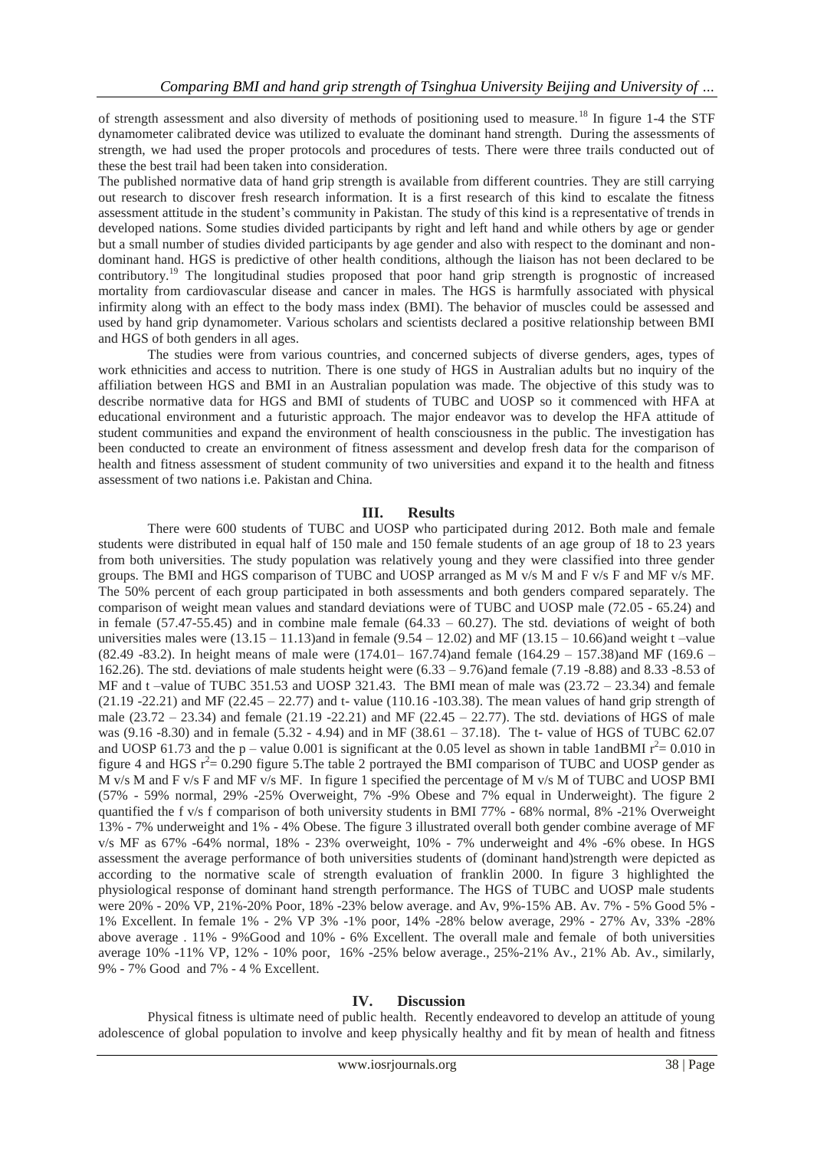of strength assessment and also diversity of methods of positioning used to measure.<sup>18</sup> In figure 1-4 the STF dynamometer calibrated device was utilized to evaluate the dominant hand strength. During the assessments of strength, we had used the proper protocols and procedures of tests. There were three trails conducted out of these the best trail had been taken into consideration.

The published normative data of hand grip strength is available from different countries. They are still carrying out research to discover fresh research information. It is a first research of this kind to escalate the fitness assessment attitude in the student's community in Pakistan. The study of this kind is a representative of trends in developed nations. Some studies divided participants by right and left hand and while others by age or gender but a small number of studies divided participants by age gender and also with respect to the dominant and nondominant hand. HGS is predictive of other health conditions, although the liaison has not been declared to be contributory.<sup>19</sup> The longitudinal studies proposed that poor hand grip strength is prognostic of increased mortality from cardiovascular disease and cancer in males. The HGS is harmfully associated with physical infirmity along with an effect to the body mass index (BMI). The behavior of muscles could be assessed and used by hand grip dynamometer. Various scholars and scientists declared a positive relationship between BMI and HGS of both genders in all ages.

The studies were from various countries, and concerned subjects of diverse genders, ages, types of work ethnicities and access to nutrition. There is one study of HGS in Australian adults but no inquiry of the affiliation between HGS and BMI in an Australian population was made. The objective of this study was to describe normative data for HGS and BMI of students of TUBC and UOSP so it commenced with HFA at educational environment and a futuristic approach. The major endeavor was to develop the HFA attitude of student communities and expand the environment of health consciousness in the public. The investigation has been conducted to create an environment of fitness assessment and develop fresh data for the comparison of health and fitness assessment of student community of two universities and expand it to the health and fitness assessment of two nations i.e. Pakistan and China.

## **III. Results**

There were 600 students of TUBC and UOSP who participated during 2012. Both male and female students were distributed in equal half of 150 male and 150 female students of an age group of 18 to 23 years from both universities. The study population was relatively young and they were classified into three gender groups. The BMI and HGS comparison of TUBC and UOSP arranged as M v/s M and F v/s F and MF v/s MF. The 50% percent of each group participated in both assessments and both genders compared separately. The comparison of weight mean values and standard deviations were of TUBC and UOSP male (72.05 - 65.24) and in female  $(57.47-55.45)$  and in combine male female  $(64.33 - 60.27)$ . The std. deviations of weight of both universities males were  $(13.15 - 11.13)$  and in female  $(9.54 - 12.02)$  and MF (13.15 – 10.66) and weight t –value (82.49 -83.2). In height means of male were (174.01– 167.74)and female (164.29 – 157.38)and MF (169.6 – 162.26). The std. deviations of male students height were (6.33 – 9.76)and female (7.19 -8.88) and 8.33 -8.53 of MF and t-value of TUBC 351.53 and UOSP 321.43. The BMI mean of male was (23.72 – 23.34) and female  $(21.19 - 22.21)$  and MF  $(22.45 - 22.77)$  and t- value  $(110.16 - 103.38)$ . The mean values of hand grip strength of male (23.72 – 23.34) and female (21.19 -22.21) and MF (22.45 – 22.77). The std. deviations of HGS of male was (9.16 -8.30) and in female (5.32 - 4.94) and in MF (38.61 – 37.18). The t- value of HGS of TUBC 62.07 and UOSP 61.73 and the p – value 0.001 is significant at the 0.05 level as shown in table 1andBMI  $r^2$  = 0.010 in figure 4 and HGS  $r^2$  = 0.290 figure 5. The table 2 portrayed the BMI comparison of TUBC and UOSP gender as M v/s M and F v/s F and MF v/s MF. In figure 1 specified the percentage of M v/s M of TUBC and UOSP BMI (57% - 59% normal, 29% -25% Overweight, 7% -9% Obese and 7% equal in Underweight). The figure 2 quantified the f v/s f comparison of both university students in BMI 77% - 68% normal, 8% -21% Overweight 13% - 7% underweight and 1% - 4% Obese. The figure 3 illustrated overall both gender combine average of MF v/s MF as 67% -64% normal, 18% - 23% overweight, 10% - 7% underweight and 4% -6% obese. In HGS assessment the average performance of both universities students of (dominant hand)strength were depicted as according to the normative scale of strength evaluation of franklin 2000. In figure 3 highlighted the physiological response of dominant hand strength performance. The HGS of TUBC and UOSP male students were 20% - 20% VP, 21%-20% Poor, 18% -23% below average. and Av, 9%-15% AB. Av. 7% - 5% Good 5% - 1% Excellent. In female 1% - 2% VP 3% -1% poor, 14% -28% below average, 29% - 27% Av, 33% -28% above average . 11% - 9%Good and 10% - 6% Excellent. The overall male and female of both universities average 10% -11% VP, 12% - 10% poor, 16% -25% below average., 25%-21% Av., 21% Ab. Av., similarly, 9% - 7% Good and 7% - 4 % Excellent.

#### **IV. Discussion**

Physical fitness is ultimate need of public health. Recently endeavored to develop an attitude of young adolescence of global population to involve and keep physically healthy and fit by mean of health and fitness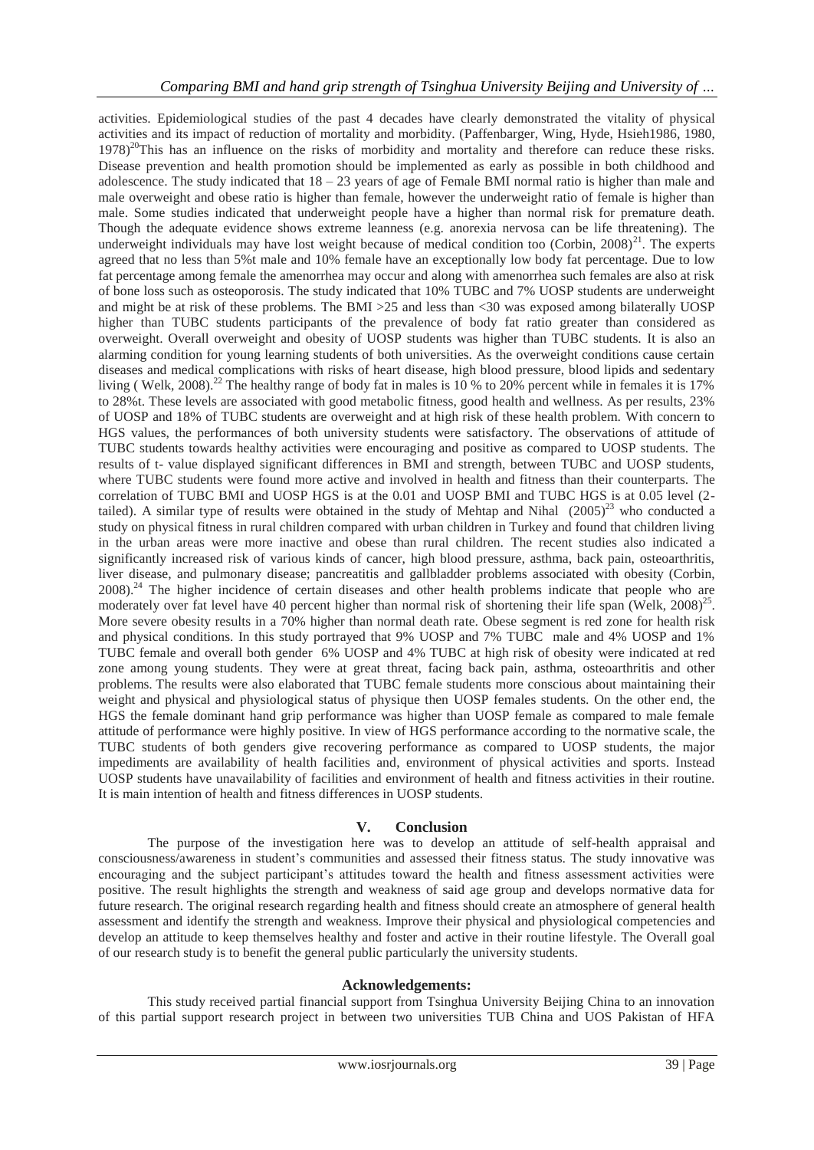activities. Epidemiological studies of the past 4 decades have clearly demonstrated the vitality of physical activities and its impact of reduction of mortality and morbidity. (Paffenbarger, Wing, Hyde, Hsieh1986, 1980,  $1978$ <sup>20</sup>This has an influence on the risks of morbidity and mortality and therefore can reduce these risks. Disease prevention and health promotion should be implemented as early as possible in both childhood and adolescence. The study indicated that  $18 - 23$  years of age of Female BMI normal ratio is higher than male and male overweight and obese ratio is higher than female, however the underweight ratio of female is higher than male. Some studies indicated that underweight people have a higher than normal risk for premature death. Though the adequate evidence shows extreme leanness (e.g. anorexia nervosa can be life threatening). The underweight individuals may have lost weight because of medical condition too (Corbin,  $2008)^{21}$ . The experts agreed that no less than 5%t male and 10% female have an exceptionally low body fat percentage. Due to low fat percentage among female the amenorrhea may occur and along with amenorrhea such females are also at risk of bone loss such as osteoporosis. The study indicated that 10% TUBC and 7% UOSP students are underweight and might be at risk of these problems. The BMI >25 and less than <30 was exposed among bilaterally UOSP higher than TUBC students participants of the prevalence of body fat ratio greater than considered as overweight. Overall overweight and obesity of UOSP students was higher than TUBC students. It is also an alarming condition for young learning students of both universities. As the overweight conditions cause certain diseases and medical complications with risks of heart disease, high blood pressure, blood lipids and sedentary living ( Welk, 2008).<sup>22</sup> The healthy range of body fat in males is 10 % to 20% percent while in females it is 17% to 28%t. These levels are associated with good metabolic fitness, good health and wellness. As per results, 23% of UOSP and 18% of TUBC students are overweight and at high risk of these health problem. With concern to HGS values, the performances of both university students were satisfactory. The observations of attitude of TUBC students towards healthy activities were encouraging and positive as compared to UOSP students. The results of t- value displayed significant differences in BMI and strength, between TUBC and UOSP students, where TUBC students were found more active and involved in health and fitness than their counterparts. The correlation of TUBC BMI and UOSP HGS is at the 0.01 and UOSP BMI and TUBC HGS is at 0.05 level (2 tailed). A similar type of results were obtained in the study of Mehtap and Nihal  $(2005)^{23}$  who conducted a study on physical fitness in rural children compared with urban children in Turkey and found that children living in the urban areas were more inactive and obese than rural children. The recent studies also indicated a significantly increased risk of various kinds of cancer, high blood pressure, asthma, back pain, osteoarthritis, liver disease, and pulmonary disease; pancreatitis and gallbladder problems associated with obesity (Corbin, 2008).<sup>24</sup> The higher incidence of certain diseases and other health problems indicate that people who are moderately over fat level have 40 percent higher than normal risk of shortening their life span (Welk, 2008)<sup>25</sup>. More severe obesity results in a 70% higher than normal death rate. Obese segment is red zone for health risk and physical conditions. In this study portrayed that 9% UOSP and 7% TUBC male and 4% UOSP and 1% TUBC female and overall both gender 6% UOSP and 4% TUBC at high risk of obesity were indicated at red zone among young students. They were at great threat, facing back pain, asthma, osteoarthritis and other problems. The results were also elaborated that TUBC female students more conscious about maintaining their weight and physical and physiological status of physique then UOSP females students. On the other end, the HGS the female dominant hand grip performance was higher than UOSP female as compared to male female attitude of performance were highly positive. In view of HGS performance according to the normative scale, the TUBC students of both genders give recovering performance as compared to UOSP students, the major impediments are availability of health facilities and, environment of physical activities and sports. Instead UOSP students have unavailability of facilities and environment of health and fitness activities in their routine. It is main intention of health and fitness differences in UOSP students.

## **V. Conclusion**

The purpose of the investigation here was to develop an attitude of self-health appraisal and consciousness/awareness in student's communities and assessed their fitness status. The study innovative was encouraging and the subject participant's attitudes toward the health and fitness assessment activities were positive. The result highlights the strength and weakness of said age group and develops normative data for future research. The original research regarding health and fitness should create an atmosphere of general health assessment and identify the strength and weakness. Improve their physical and physiological competencies and develop an attitude to keep themselves healthy and foster and active in their routine lifestyle. The Overall goal of our research study is to benefit the general public particularly the university students.

#### **Acknowledgements:**

This study received partial financial support from Tsinghua University Beijing China to an innovation of this partial support research project in between two universities TUB China and UOS Pakistan of HFA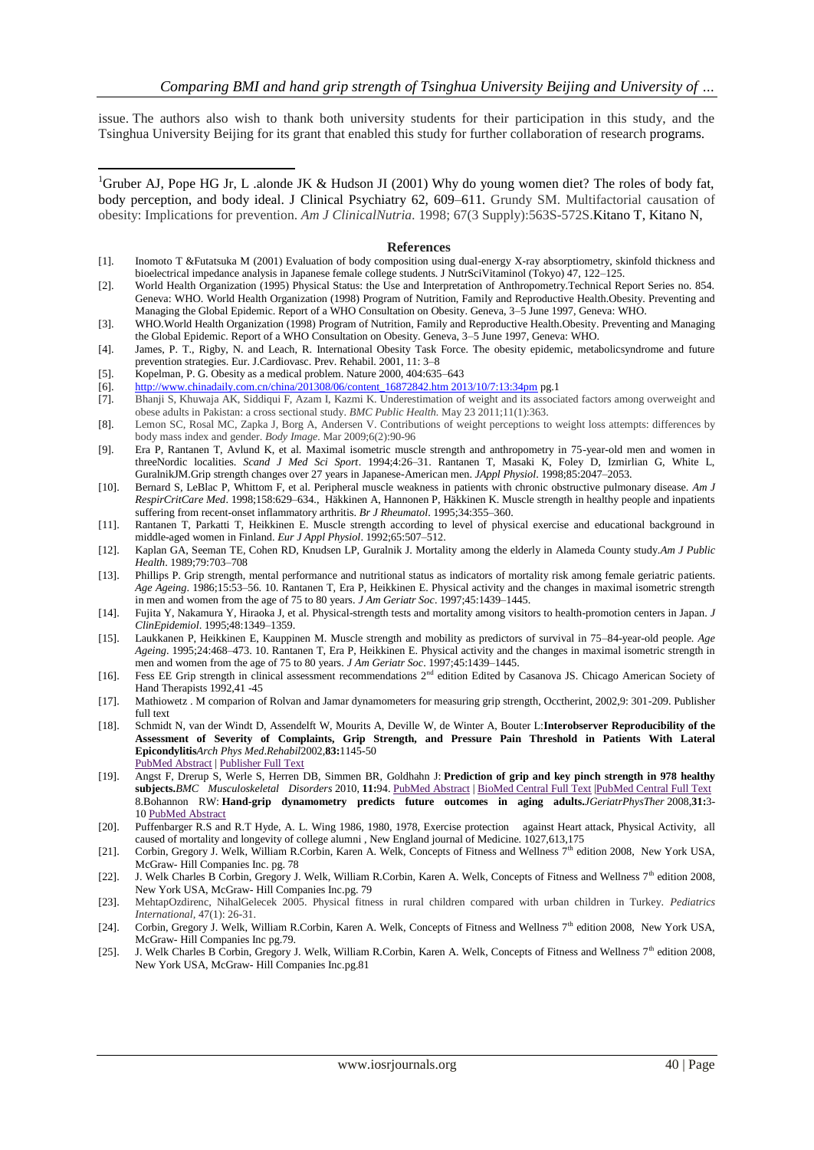issue. The authors also wish to thank both university students for their participation in this study, and the Tsinghua University Beijing for its grant that enabled this study for further collaboration of research programs.

<sup>1</sup>Gruber AJ, Pope HG Jr, L .alonde JK & Hudson JI (2001) Why do young women diet? The roles of body fat, body perception, and body ideal. J Clinical Psychiatry 62, 609–611. Grundy SM. Multifactorial causation of obesity: Implications for prevention. *Am J ClinicalNutria.* 1998; 67(3 Supply):563S-572S.Kitano T, Kitano N,

#### **References**

- [1]. Inomoto T &Futatsuka M (2001) Evaluation of body composition using dual-energy X-ray absorptiometry, skinfold thickness and bioelectrical impedance analysis in Japanese female college students. J NutrSciVitaminol (Tokyo) 47, 122–125.
- [2]. World Health Organization (1995) Physical Status: the Use and Interpretation of Anthropometry.Technical Report Series no. 854. Geneva: WHO. World Health Organization (1998) Program of Nutrition, Family and Reproductive Health.Obesity. Preventing and Managing the Global Epidemic. Report of a WHO Consultation on Obesity. Geneva, 3–5 June 1997, Geneva: WHO.
- [3]. WHO.World Health Organization (1998) Program of Nutrition, Family and Reproductive Health.Obesity. Preventing and Managing the Global Epidemic. Report of a WHO Consultation on Obesity. Geneva, 3–5 June 1997, Geneva: WHO.
- [4]. James, P. T., Rigby, N. and Leach, R. International Obesity Task Force. The obesity epidemic, metabolicsyndrome and future prevention strategies. Eur. J.Cardiovasc. Prev. Rehabil. 2001, 11: 3–8
- [5]. Kopelman, P. G. Obesity as a medical problem. Nature 2000, 404:635–643

-

- [6]. [http://www.chinadaily.com.cn/china/201308/06/content\\_16872842.htm 2013/10/7:13:34pm](http://www.chinadaily.com.cn/china/201308/06/content_16872842.htm%202013/10/7:13:34pm) pg.1
- [7]. Bhanji S, Khuwaja AK, Siddiqui F, Azam I, Kazmi K. Underestimation of weight and its associated factors among overweight and obese adults in Pakistan: a cross sectional study. *BMC Public Health.* May 23 2011;11(1):363.
- [8]. Lemon SC, Rosal MC, Zapka J, Borg A, Andersen V. Contributions of weight perceptions to weight loss attempts: differences by body mass index and gender. *Body Image.* Mar 2009;6(2):90-96
- [9]. Era P, Rantanen T, Avlund K, et al. Maximal isometric muscle strength and anthropometry in 75-year-old men and women in threeNordic localities. *Scand J Med Sci Sport*. 1994;4:26–31. Rantanen T, Masaki K, Foley D, Izmirlian G, White L, GuralnikJM.Grip strength changes over 27 years in Japanese-American men. *JAppl Physiol*. 1998;85:2047–2053.
- [10]. Bernard S, LeBlac P, Whittom F, et al. Peripheral muscle weakness in patients with chronic obstructive pulmonary disease. *Am J RespirCritCare Med*. 1998;158:629–634., Häkkinen A, Hannonen P, Häkkinen K. Muscle strength in healthy people and inpatients suffering from recent-onset inflammatory arthritis. *Br J Rheumatol*. 1995;34:355–360.
- [11]. Rantanen T, Parkatti T, Heikkinen E. Muscle strength according to level of physical exercise and educational background in middle-aged women in Finland. *Eur J Appl Physiol*. 1992;65:507–512.
- [12]. Kaplan GA, Seeman TE, Cohen RD, Knudsen LP, Guralnik J. Mortality among the elderly in Alameda County study.*Am J Public Health*. 1989;79:703–708
- [13]. Phillips P. Grip strength, mental performance and nutritional status as indicators of mortality risk among female geriatric patients. *Age Ageing*. 1986;15:53–56. 10. Rantanen T, Era P, Heikkinen E. Physical activity and the changes in maximal isometric strength in men and women from the age of 75 to 80 years. *J Am Geriatr Soc*. 1997;45:1439–1445.
- [14]. Fujita Y, Nakamura Y, Hiraoka J, et al. Physical-strength tests and mortality among visitors to health-promotion centers in Japan. *J ClinEpidemiol*. 1995;48:1349–1359.
- [15]. Laukkanen P, Heikkinen E, Kauppinen M. Muscle strength and mobility as predictors of survival in 75–84-year-old people. *Age Ageing*. 1995;24:468–473. 10. Rantanen T, Era P, Heikkinen E. Physical activity and the changes in maximal isometric strength in men and women from the age of 75 to 80 years. *J Am Geriatr Soc*. 1997;45:1439–1445.
- [16]. Fess EE Grip strength in clinical assessment recommendations 2<sup>nd</sup> edition Edited by Casanova JS. Chicago American Society of Hand Therapists 1992,41 -45
- [17]. Mathiowetz . M comparion of Rolvan and Jamar dynamometers for measuring grip strength, Occtherint, 2002,9: 301-209. Publisher full text
- [18]. Schmidt N, van der Windt D, Assendelft W, Mourits A, Deville W, de Winter A, Bouter L:**Interobserver Reproducibility of the Assessment of Severity of Complaints, Grip Strength, and Pressure Pain Threshold in Patients With Lateral Epicondylitis***Arch Phys Med*.*Rehabil*2002,**83:**1145-50 [PubMed](http://www.biomedcentral.com/pubmed/12161838) Abstract | [Publisher](http://www.ncbi.nlm.nih.gov/entrez/eutils/elink.fcgi?dbfrom=pubmed&cmd=prlinks&retmode=ref&id=12161838) Full Text
- [19]. Angst F, Drerup S, Werle S, Herren DB, Simmen BR, Goldhahn J: **Prediction of grip and key pinch strength in 978 healthy subjects.***BMC Musculoskeletal Disorders* 2010, **11:**94. [PubMed](http://www.biomedcentral.com/pubmed/20482832) Abstract | [BioMed](http://dx.doi.org/10.1186/1471-2474-11-94) Central Full Text [|PubMed](http://www.pubmedcentral.nih.gov/articlerender.fcgi?tool=pubmed&pubmedid=20482832) Central Full Text 8.Bohannon RW: **Hand-grip dynamometry predicts future outcomes in aging adults.***JGeriatrPhysTher* 2008,**31:**3- 10 [PubMed](http://www.biomedcentral.com/pubmed/18489802) Abstract
- [20]. Puffenbarger R.S and R.T Hyde, A. L. Wing 1986, 1980, 1978, Exercise protection against Heart attack, Physical Activity, all caused of mortality and longevity of college alumni , New England journal of Medicine. 1027,613,175
- [21]. Corbin, Gregory J. Welk, William R.Corbin, Karen A. Welk, Concepts of Fitness and Wellness  $7<sup>th</sup>$  edition 2008, New York USA, McGraw- Hill Companies Inc. pg. 78
- [22]. J. Welk Charles B Corbin, Gregory J. Welk, William R.Corbin, Karen A. Welk, Concepts of Fitness and Wellness 7th edition 2008, New York USA, McGraw- Hill Companies Inc.pg. 79
- [23]. MehtapOzdirenc, NihalGelecek 2005. Physical fitness in rural children compared with urban children in Turkey. *Pediatrics International,* 47(1): 26-31.
- [24]. Corbin, Gregory J. Welk, William R.Corbin, Karen A. Welk, Concepts of Fitness and Wellness 7<sup>th</sup> edition 2008, New York USA, McGraw- Hill Companies Inc pg.79.
- [25]. J. Welk Charles B Corbin, Gregory J. Welk, William R.Corbin, Karen A. Welk, Concepts of Fitness and Wellness 7th edition 2008, New York USA, McGraw- Hill Companies Inc.pg.81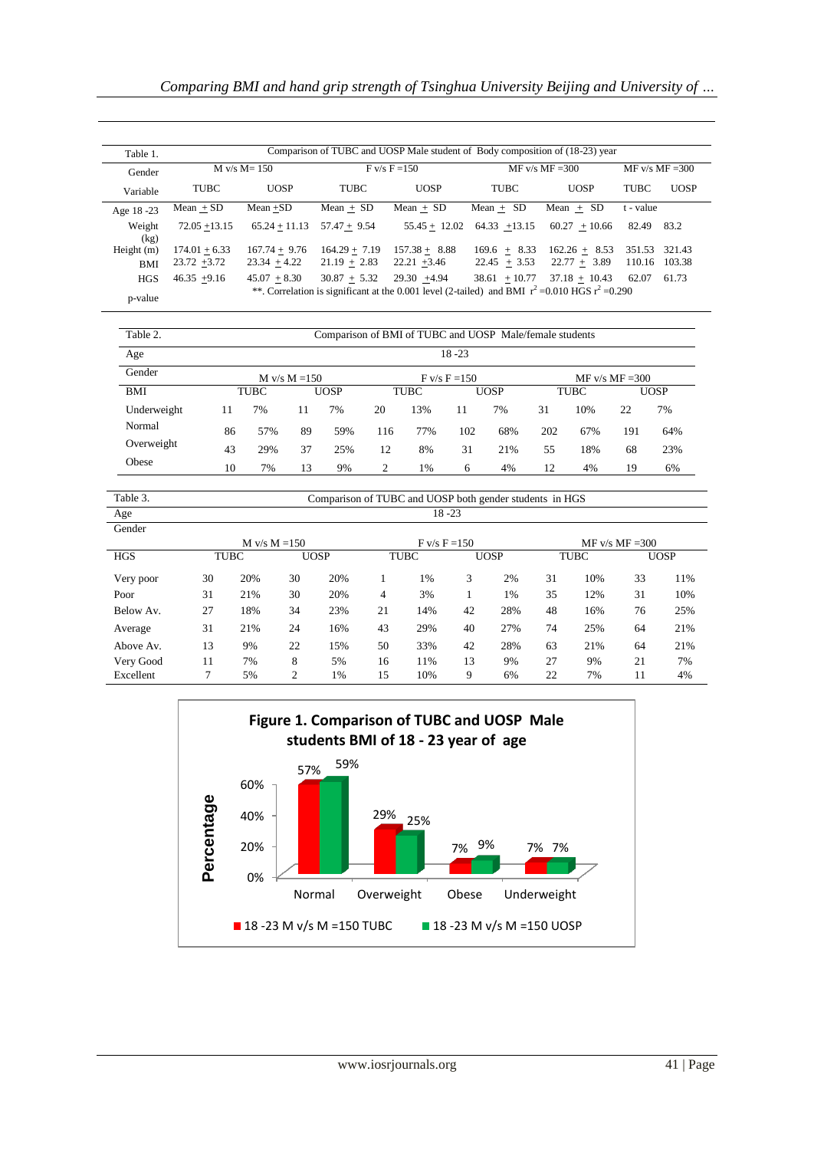| Table 1.       | Comparison of TUBC and UOSP Male student of Body composition of (18-23) year |                 |                 |                                                                                                    |                   |                   |             |             |  |  |
|----------------|------------------------------------------------------------------------------|-----------------|-----------------|----------------------------------------------------------------------------------------------------|-------------------|-------------------|-------------|-------------|--|--|
| Gender         | $M v/s M = 150$                                                              |                 |                 | $F$ v/s $F = 150$                                                                                  | $MF v/s MF = 300$ | $MF v/s MF = 300$ |             |             |  |  |
| Variable       | TUBC                                                                         | <b>UOSP</b>     | <b>TUBC</b>     | <b>UOSP</b>                                                                                        | <b>TUBC</b>       | <b>UOSP</b>       | <b>TUBC</b> | <b>UOSP</b> |  |  |
| Age 18 -23     | $Mean + SD$                                                                  | $Mean + SD$     | $Mean + SD$     | $Mean + SD$                                                                                        | $Mean + SD$       | Mean $+$ SD       | t - value   |             |  |  |
| Weight<br>(kg) | $72.05 + 13.15$                                                              | $65.24 + 11.13$ | $57.47 + 9.54$  | $55.45 + 12.02$                                                                                    | $64.33 + 13.15$   | $60.27 + 10.66$   | 82.49       | 83.2        |  |  |
| Height $(m)$   | $174.01 + 6.33$                                                              | $167.74 + 9.76$ | $164.29 + 7.19$ | $157.38 + 8.88$                                                                                    | $169.6 + 8.33$    | $162.26 + 8.53$   | 351.53      | 321.43      |  |  |
| <b>BMI</b>     | $23.72 + 3.72$                                                               | $23.34 + 4.22$  | $21.19 + 2.83$  | $22.21 + 3.46$                                                                                     | $22.45 + 3.53$    | $22.77 + 3.89$    | 110.16      | 103.38      |  |  |
| <b>HGS</b>     | $46.35 + 9.16$                                                               | $45.07 + 8.30$  | $30.87 + 5.32$  | $29.30 +4.94$                                                                                      | $38.61 + 10.77$   | $37.18 + 10.43$   | 62.07       | 61.73       |  |  |
| p-value        |                                                                              |                 |                 | **. Correlation is significant at the 0.001 level (2-tailed) and BMI $r^2$ =0.010 HGS $r^2$ =0.290 |                   |                   |             |             |  |  |

-

| Table 2.    | Comparison of BMI of TUBC and UOSP Male/female students<br>$18 - 23$ |             |    |             |                 |             |     |      |                   |      |     |             |
|-------------|----------------------------------------------------------------------|-------------|----|-------------|-----------------|-------------|-----|------|-------------------|------|-----|-------------|
| Age         |                                                                      |             |    |             |                 |             |     |      |                   |      |     |             |
| Gender      | M v/s $M = 150$                                                      |             |    |             | $F v/s F = 150$ |             |     |      | $MF v/s MF = 300$ |      |     |             |
| <b>BMI</b>  |                                                                      | <b>TUBC</b> |    | <b>UOSP</b> |                 | <b>TUBC</b> |     | UOSP |                   | TUBC |     | <b>UOSP</b> |
| Underweight | 11                                                                   | 7%          | 11 | 7%          | 20              | 13%         | 11  | 7%   | 31                | 10%  | 22  | 7%          |
| Normal      | 86                                                                   | 57%         | 89 | 59%         | 116             | 77%         | 102 | 68%  | 202               | 67%  | 191 | 64%         |
| Overweight  | 43                                                                   | 29%         | 37 | 25%         | 12              | 8%          | 31  | 21%  | 55                | 18%  | 68  | 23%         |
| Obese       | 10                                                                   | 7%          | 13 | 9%          | 2               | 1%          | 6   | 4%   | 12                | 4%   | 19  | 6%          |

| Table 3.   | Comparison of TUBC and UOSP both gender students in HGS |     |                |             |                |             |    |             |    |             |    |             |  |
|------------|---------------------------------------------------------|-----|----------------|-------------|----------------|-------------|----|-------------|----|-------------|----|-------------|--|
| Age        | $18 - 23$                                               |     |                |             |                |             |    |             |    |             |    |             |  |
| Gender     |                                                         |     |                |             |                |             |    |             |    |             |    |             |  |
|            | $F v/s F = 150$<br>M v/s $M = 150$<br>$MF v/s MF = 300$ |     |                |             |                |             |    |             |    |             |    |             |  |
| <b>HGS</b> | <b>TUBC</b>                                             |     |                | <b>UOSP</b> |                | <b>TUBC</b> |    | <b>UOSP</b> |    | <b>TUBC</b> |    | <b>UOSP</b> |  |
| Very poor  | 30                                                      | 20% | 30             | 20%         |                | 1%          | 3  | 2%          | 31 | 10%         | 33 | 11%         |  |
| Poor       | 31                                                      | 21% | 30             | 20%         | $\overline{4}$ | 3%          |    | 1%          | 35 | 12%         | 31 | 10%         |  |
| Below Av.  | 27                                                      | 18% | 34             | 23%         | 21             | 14%         | 42 | 28%         | 48 | 16%         | 76 | 25%         |  |
| Average    | 31                                                      | 21% | 24             | 16%         | 43             | 29%         | 40 | 27%         | 74 | 25%         | 64 | 21%         |  |
| Above Av.  | 13                                                      | 9%  | 22             | 15%         | 50             | 33%         | 42 | 28%         | 63 | 21%         | 64 | 21%         |  |
| Very Good  | 11                                                      | 7%  | 8              | 5%          | 16             | 11%         | 13 | 9%          | 27 | 9%          | 21 | 7%          |  |
| Excellent  | 7                                                       | 5%  | $\overline{c}$ | 1%          | 15             | 10%         | 9  | 6%          | 22 | 7%          | 11 | 4%          |  |

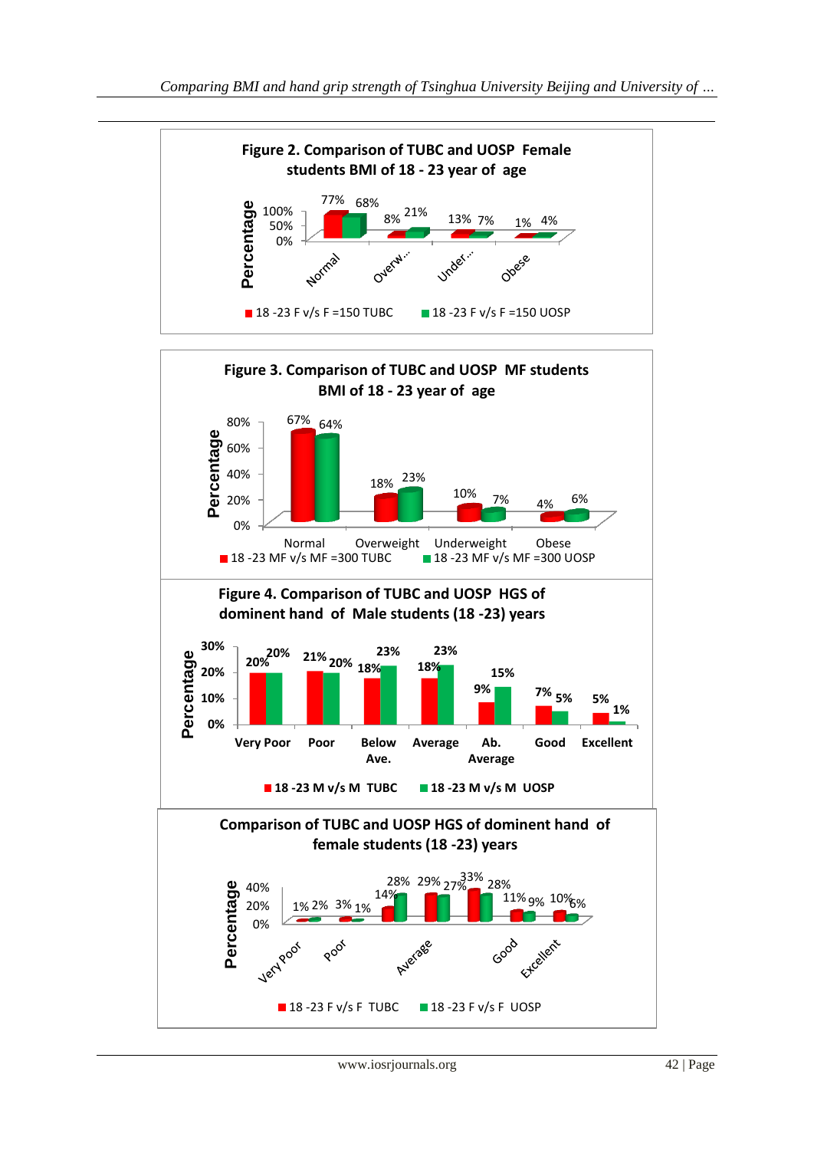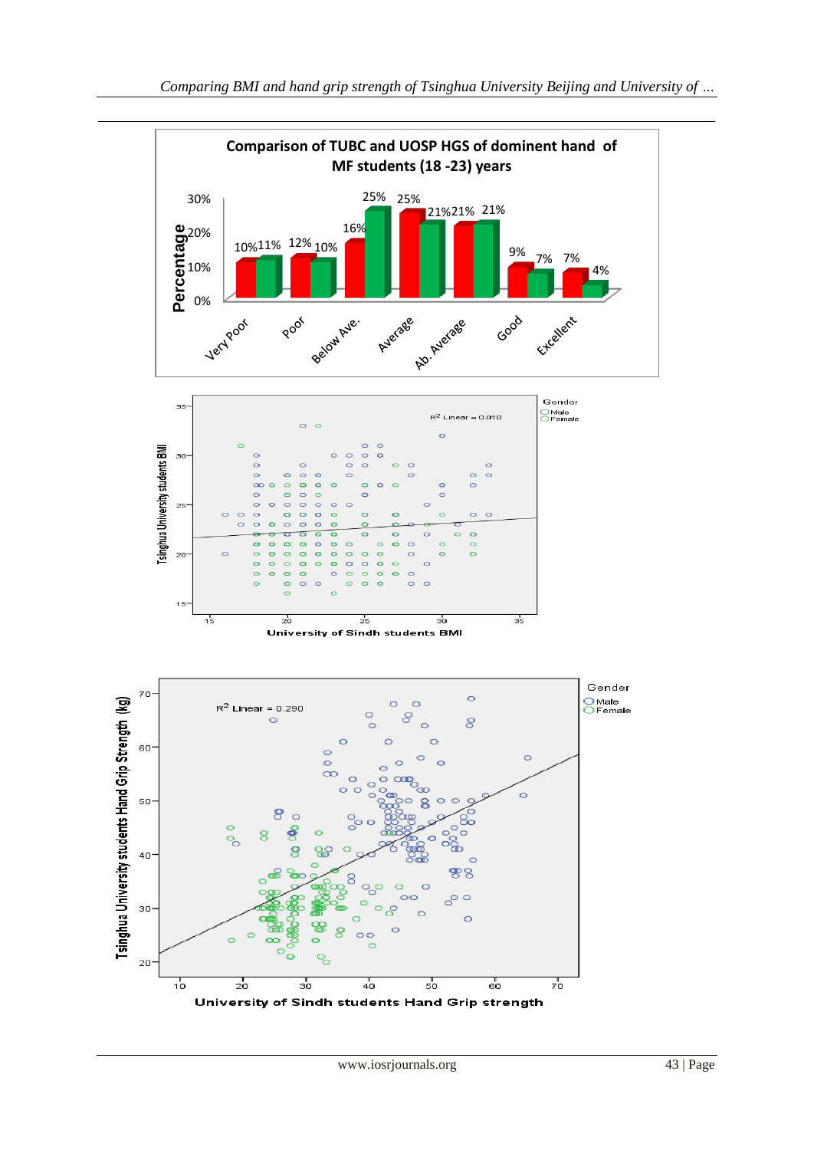

*Comparing BMI and hand grip strength of Tsinghua University Beijing and University of …*

**Comparison of TUBC and UOSP HGS of dominent hand of MF students (18 -23) years** 

21% 21% 21%

9% 7% 7%

4%

-

0%

10% **eg**<br>**Percentage**<br> **Percentage** 

10% 11% 12% 10%

16%

25% 25%

30%